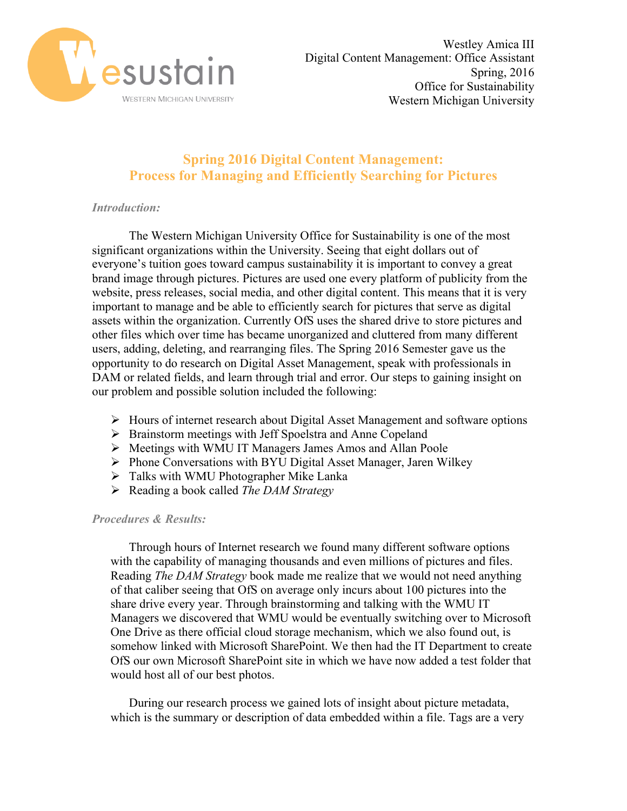

## **Spring 2016 Digital Content Management: Process for Managing and Efficiently Searching for Pictures**

## *Introduction:*

The Western Michigan University Office for Sustainability is one of the most significant organizations within the University. Seeing that eight dollars out of everyone's tuition goes toward campus sustainability it is important to convey a great brand image through pictures. Pictures are used one every platform of publicity from the website, press releases, social media, and other digital content. This means that it is very important to manage and be able to efficiently search for pictures that serve as digital assets within the organization. Currently OfS uses the shared drive to store pictures and other files which over time has became unorganized and cluttered from many different users, adding, deleting, and rearranging files. The Spring 2016 Semester gave us the opportunity to do research on Digital Asset Management, speak with professionals in DAM or related fields, and learn through trial and error. Our steps to gaining insight on our problem and possible solution included the following:

- $\triangleright$  Hours of internet research about Digital Asset Management and software options
- Ø Brainstorm meetings with Jeff Spoelstra and Anne Copeland
- Ø Meetings with WMU IT Managers James Amos and Allan Poole
- Ø Phone Conversations with BYU Digital Asset Manager, Jaren Wilkey
- $\triangleright$  Talks with WMU Photographer Mike Lanka
- Ø Reading a book called *The DAM Strategy*

## *Procedures & Results:*

Through hours of Internet research we found many different software options with the capability of managing thousands and even millions of pictures and files. Reading *The DAM Strategy* book made me realize that we would not need anything of that caliber seeing that OfS on average only incurs about 100 pictures into the share drive every year. Through brainstorming and talking with the WMU IT Managers we discovered that WMU would be eventually switching over to Microsoft One Drive as there official cloud storage mechanism, which we also found out, is somehow linked with Microsoft SharePoint. We then had the IT Department to create OfS our own Microsoft SharePoint site in which we have now added a test folder that would host all of our best photos.

During our research process we gained lots of insight about picture metadata, which is the summary or description of data embedded within a file. Tags are a very